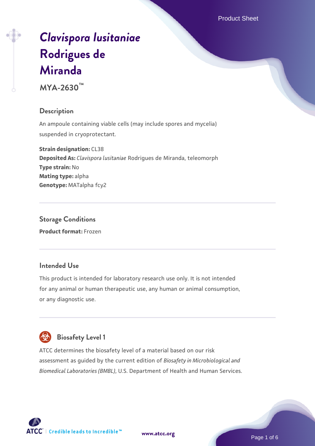# *[Clavispora lusitaniae](https://www.atcc.org/products/mya-2630)* **[Rodrigues de](https://www.atcc.org/products/mya-2630) [Miranda](https://www.atcc.org/products/mya-2630)**

**MYA-2630™**

## **Description**

An ampoule containing viable cells (may include spores and mycelia) suspended in cryoprotectant.

**Strain designation:** CL38 **Deposited As:** *Clavispora lusitaniae* Rodrigues de Miranda, teleomorph **Type strain:** No **Mating type:** alpha **Genotype:** MATalpha fcy2

**Storage Conditions Product format:** Frozen

## **Intended Use**

This product is intended for laboratory research use only. It is not intended for any animal or human therapeutic use, any human or animal consumption, or any diagnostic use.



# **Biosafety Level 1**

ATCC determines the biosafety level of a material based on our risk assessment as guided by the current edition of *Biosafety in Microbiological and Biomedical Laboratories (BMBL)*, U.S. Department of Health and Human Services.

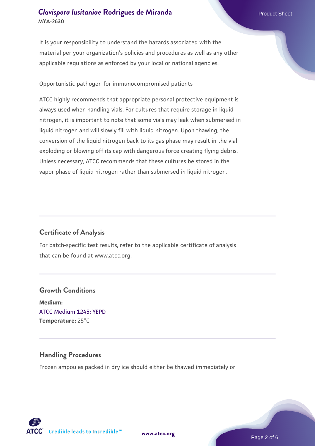It is your responsibility to understand the hazards associated with the material per your organization's policies and procedures as well as any other applicable regulations as enforced by your local or national agencies.

#### Opportunistic pathogen for immunocompromised patients

ATCC highly recommends that appropriate personal protective equipment is always used when handling vials. For cultures that require storage in liquid nitrogen, it is important to note that some vials may leak when submersed in liquid nitrogen and will slowly fill with liquid nitrogen. Upon thawing, the conversion of the liquid nitrogen back to its gas phase may result in the vial exploding or blowing off its cap with dangerous force creating flying debris. Unless necessary, ATCC recommends that these cultures be stored in the vapor phase of liquid nitrogen rather than submersed in liquid nitrogen.

#### **Certificate of Analysis**

For batch-specific test results, refer to the applicable certificate of analysis that can be found at www.atcc.org.

# **Growth Conditions Medium:**  [ATCC Medium 1245: YEPD](https://www.atcc.org/-/media/product-assets/documents/microbial-media-formulations/1/2/4/5/atcc-medium-1245.pdf?rev=705ca55d1b6f490a808a965d5c072196) **Temperature:** 25°C

#### **Handling Procedures**

Frozen ampoules packed in dry ice should either be thawed immediately or



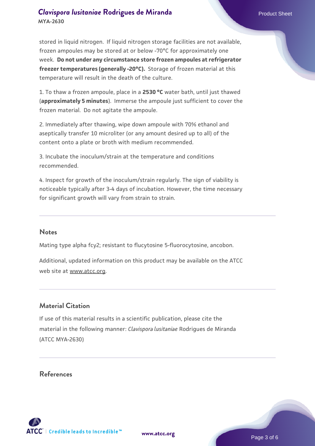stored in liquid nitrogen. If liquid nitrogen storage facilities are not available, frozen ampoules may be stored at or below -70°C for approximately one week. **Do not under any circumstance store frozen ampoules at refrigerator freezer temperatures (generally -20°C).** Storage of frozen material at this temperature will result in the death of the culture.

1. To thaw a frozen ampoule, place in a **2530 °C** water bath, until just thawed (**approximately 5 minutes**). Immerse the ampoule just sufficient to cover the frozen material. Do not agitate the ampoule.

2. Immediately after thawing, wipe down ampoule with 70% ethanol and aseptically transfer 10 microliter (or any amount desired up to all) of the content onto a plate or broth with medium recommended.

3. Incubate the inoculum/strain at the temperature and conditions recommended.

4. Inspect for growth of the inoculum/strain regularly. The sign of viability is noticeable typically after 3-4 days of incubation. However, the time necessary for significant growth will vary from strain to strain.

#### **Notes**

Mating type alpha fcy2; resistant to flucytosine 5-fluorocytosine, ancobon.

Additional, updated information on this product may be available on the ATCC web site at www.atcc.org.

## **Material Citation**

If use of this material results in a scientific publication, please cite the material in the following manner: *Clavispora lusitaniae* Rodrigues de Miranda (ATCC MYA-2630)

#### **References**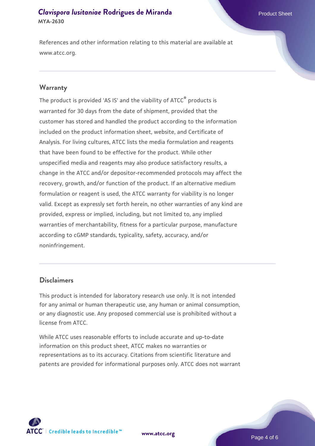References and other information relating to this material are available at www.atcc.org.

#### **Warranty**

The product is provided 'AS IS' and the viability of ATCC® products is warranted for 30 days from the date of shipment, provided that the customer has stored and handled the product according to the information included on the product information sheet, website, and Certificate of Analysis. For living cultures, ATCC lists the media formulation and reagents that have been found to be effective for the product. While other unspecified media and reagents may also produce satisfactory results, a change in the ATCC and/or depositor-recommended protocols may affect the recovery, growth, and/or function of the product. If an alternative medium formulation or reagent is used, the ATCC warranty for viability is no longer valid. Except as expressly set forth herein, no other warranties of any kind are provided, express or implied, including, but not limited to, any implied warranties of merchantability, fitness for a particular purpose, manufacture according to cGMP standards, typicality, safety, accuracy, and/or noninfringement.

#### **Disclaimers**

This product is intended for laboratory research use only. It is not intended for any animal or human therapeutic use, any human or animal consumption, or any diagnostic use. Any proposed commercial use is prohibited without a license from ATCC.

While ATCC uses reasonable efforts to include accurate and up-to-date information on this product sheet, ATCC makes no warranties or representations as to its accuracy. Citations from scientific literature and patents are provided for informational purposes only. ATCC does not warrant



**[www.atcc.org](http://www.atcc.org)**

Page 4 of 6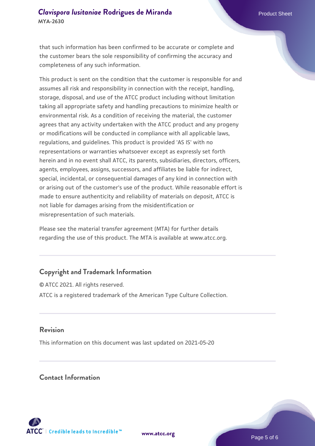that such information has been confirmed to be accurate or complete and the customer bears the sole responsibility of confirming the accuracy and completeness of any such information.

This product is sent on the condition that the customer is responsible for and assumes all risk and responsibility in connection with the receipt, handling, storage, disposal, and use of the ATCC product including without limitation taking all appropriate safety and handling precautions to minimize health or environmental risk. As a condition of receiving the material, the customer agrees that any activity undertaken with the ATCC product and any progeny or modifications will be conducted in compliance with all applicable laws, regulations, and guidelines. This product is provided 'AS IS' with no representations or warranties whatsoever except as expressly set forth herein and in no event shall ATCC, its parents, subsidiaries, directors, officers, agents, employees, assigns, successors, and affiliates be liable for indirect, special, incidental, or consequential damages of any kind in connection with or arising out of the customer's use of the product. While reasonable effort is made to ensure authenticity and reliability of materials on deposit, ATCC is not liable for damages arising from the misidentification or misrepresentation of such materials.

Please see the material transfer agreement (MTA) for further details regarding the use of this product. The MTA is available at www.atcc.org.

## **Copyright and Trademark Information**

© ATCC 2021. All rights reserved. ATCC is a registered trademark of the American Type Culture Collection.

#### **Revision**

This information on this document was last updated on 2021-05-20

#### **Contact Information**



**[www.atcc.org](http://www.atcc.org)**